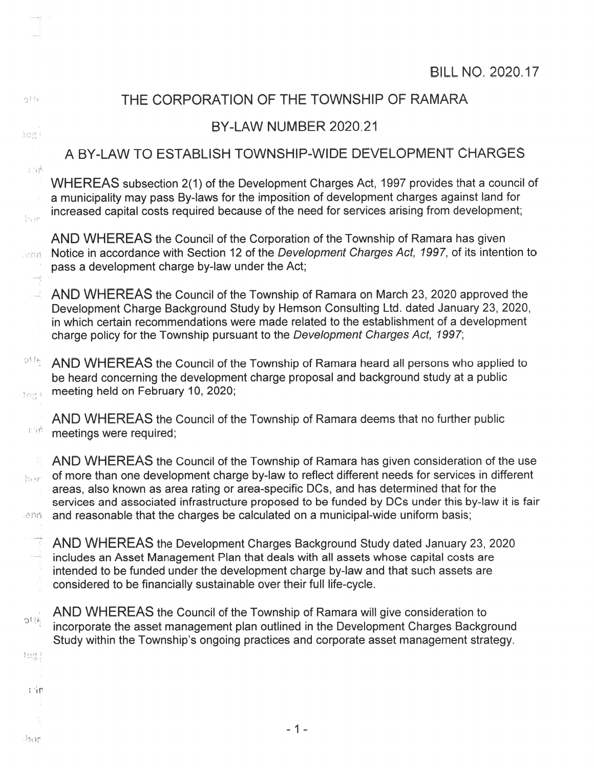| nji ha                                                                                                 | THE CORPORATION OF THE TOWNSHIP OF RAMARA                                                                                                                                                                                                                                                                                                                                                                                                                                 |  |  |  |  |
|--------------------------------------------------------------------------------------------------------|---------------------------------------------------------------------------------------------------------------------------------------------------------------------------------------------------------------------------------------------------------------------------------------------------------------------------------------------------------------------------------------------------------------------------------------------------------------------------|--|--|--|--|
| $\mathbb{S} \bigoplus_{\ell \in \mathbb{Z}} \mathop{\mathrm{gr}}_{\mathbb{Z}^n \mathbb{A}} \mathbb{C}$ | BY-LAW NUMBER 2020.21                                                                                                                                                                                                                                                                                                                                                                                                                                                     |  |  |  |  |
|                                                                                                        | A BY-LAW TO ESTABLISH TOWNSHIP-WIDE DEVELOPMENT CHARGES                                                                                                                                                                                                                                                                                                                                                                                                                   |  |  |  |  |
| $\frac{1}{2} - \frac{1}{2} \frac{p_0^2}{2}$<br><b>Aver</b>                                             | WHEREAS subsection 2(1) of the Development Charges Act, 1997 provides that a council of<br>a municipality may pass By-laws for the imposition of development charges against land for<br>increased capital costs required because of the need for services arising from development;                                                                                                                                                                                      |  |  |  |  |
| RTES.<br>i milj                                                                                        | AND WHEREAS the Council of the Corporation of the Township of Ramara has given<br>Notice in accordance with Section 12 of the Development Charges Act, 1997, of its intention to<br>pass a development charge by-law under the Act;                                                                                                                                                                                                                                       |  |  |  |  |
| i<br>A                                                                                                 | AND WHEREAS the Council of the Township of Ramara on March 23, 2020 approved the<br>Development Charge Background Study by Hemson Consulting Ltd. dated January 23, 2020,<br>in which certain recommendations were made related to the establishment of a development<br>charge policy for the Township pursuant to the Development Charges Act, 1997;                                                                                                                    |  |  |  |  |
| otte,<br>togi                                                                                          | AND WHEREAS the Council of the Township of Ramara heard all persons who applied to<br>be heard concerning the development charge proposal and background study at a public<br>meeting held on February 10, 2020;                                                                                                                                                                                                                                                          |  |  |  |  |
| 赵家                                                                                                     | AND WHEREAS the Council of the Township of Ramara deems that no further public<br>meetings were required;                                                                                                                                                                                                                                                                                                                                                                 |  |  |  |  |
| in y<br>enn                                                                                            | AND WHEREAS the Council of the Township of Ramara has given consideration of the use<br>of more than one development charge by-law to reflect different needs for services in different<br>areas, also known as area rating or area-specific DCs, and has determined that for the<br>services and associated infrastructure proposed to be funded by DCs under this by-law it is fair<br>and reasonable that the charges be calculated on a municipal-wide uniform basis; |  |  |  |  |
|                                                                                                        | AND WHEREAS the Development Charges Background Study dated January 23, 2020<br>includes an Asset Management Plan that deals with all assets whose capital costs are<br>intended to be funded under the development charge by-law and that such assets are<br>considered to be financially sustainable over their full life-cycle.                                                                                                                                         |  |  |  |  |
| atte                                                                                                   | AND WHEREAS the Council of the Township of Ramara will give consideration to<br>incorporate the asset management plan outlined in the Development Charges Background<br>Study within the Township's ongoing practices and corporate asset management strategy.                                                                                                                                                                                                            |  |  |  |  |
| $\Omega_{\rm 1p}^{\rm opt}$<br>石油                                                                      |                                                                                                                                                                                                                                                                                                                                                                                                                                                                           |  |  |  |  |

—1—

 $\label{eq:reduced} \mathcal{P}(\mathcal{D} \cup \mathcal{D} \mathcal{D}) = \mathcal{P}$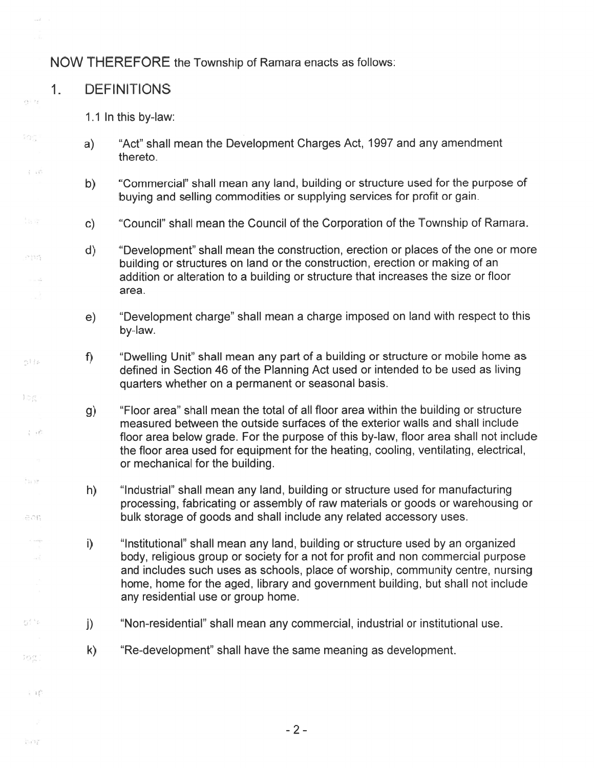#### NOW THEREFORE the Township of Ramara enacts as follows:

#### 1. DEFINITIONS

 $\alpha > 1$ 

 $\Omega_{\alpha}^-$ 

 $\frac{1}{2}$   $\frac{1}{2}$   $\frac{1}{2}$ 

 $19.98 + 5$ 

 $\mathcal{C}_{\mu}^{\mu}$   $\frac{1}{k}$  ,  $\frac{1}{k}$  ,<br>  $\frac{1}{k}$ 

印刷

 $\frac{1}{2}=\frac{1}{2}\int_{0}^{2\pi}$ 

 $\frac{1}{2}$  )  $\frac{1}{2}$ 

-805

ad.

gite.

3000

主管

 $\Gamma\cap\Gamma$ 

- 1.1 In this by-law:
- a) "Act" shall mean the Development Charges Act, 1997 and any amendment thereto.
- b) "Commercial" shall mean any land, building or structure used for the purpose of buying and selling commodities or supplying services for profit or gain.
- c) "Council" shall mean the Council of the Corporation of the Township of Ramara.
- d) "Development" shall mean the construction, erection or places of the one or more building or structures on land or the construction, erection or making of an addition or alteration to <sup>a</sup> building or structure that increases the size or floor area.
- e) "Development charge" shall mean <sup>a</sup> charge imposed on land with respec<sup>t</sup> to this by-law.
- f) "Dwelling Unit" shall mean any par<sup>t</sup> of <sup>a</sup> building or structure or mobile home as defined in Section 46 of the Planning Act used or intended to be used as living quarters whether on <sup>a</sup> permanen<sup>t</sup> or seasonal basis.
	- g) "Floor area" shall mean the total of all floor area within the building or structure measured between the outside surfaces of the exterior walls and shall include floor area below grade. For the purpose of this by-law, floor area shall not include the floor area used for equipment for the heating, cooling, ventilating, electrical, or mechanical for the building.
- h) "Industrial" shall mean any land, building or structure used for manufacturing processing, fabricating or assembly of raw materials or goods or warehousing or bulk storage of goods and shall include any related accessory uses.
	- i) "Institutional" shall mean any land, building or structure used by an organized body, religious group or society for <sup>a</sup> not for profit and non commercial purpose and includes such uses as schools, place of worship, community centre, nursing home, home for the aged, library and governmen<sup>t</sup> building, but shall not include any residential use or group home.
- j) "Non-residential" shall mean any commercial, industrial or institutional use.
- k) "Re-development" shall have the same meaning as development.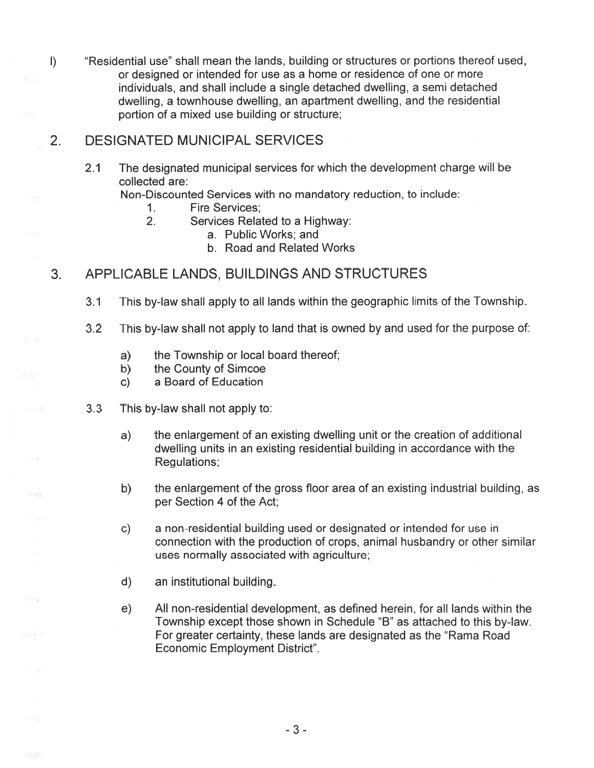I) "Residential use" shall mean the lands, building or structures or portions thereof used, or designed or intended for use as <sup>a</sup> home or residence of one or more individuals, and shall include <sup>a</sup> single detached dwelling, <sup>a</sup> semi detached dwelling, <sup>a</sup> townhouse dwelling, an apartment dwelling, and the residential portion of <sup>a</sup> mixed use building or structure;

## 2. DESIGNATED MUNICIPAL SERVICES

2.1 The designated municipal services for which the development charge will be collected are:

Non-Discounted Services with no mandatory reduction, to include:

- 1. Fire Services;
- 2. Services Related to <sup>a</sup> Highway:
	- a. Public Works; and
	- b. Road and Related Works

## 3. APPLICABLE LANDS, BUILDINGS AND STRUCTURES

- 3.1 This by-law shall apply to all lands within the geographic limits of the Township.
- 3.2 This by-law shall not apply to land that is owned by and used for the purpose of:
	- a) the Township or local board thereof;
	- b) the County of Simcoe
	- c) <sup>a</sup> Board of Education
- 33 This by-law shall not apply to:
	- a) the enlargement of an existing dwelling unit or the creation of additional dwelling units in an existing residential building in accordance with the Regulations;
	- b) the enlargement of the gross floor area of an existing industrial building, as per Section 4 of the Act;
	- c) <sup>a</sup> non-residential building used or designated or intended for use in connection with the production of crops, animal husbandry or other similar uses normally associated with agriculture;
	- d) an institutional building.

./ '

To p

240903

in s

 $\{t_k\}_{k=1}^{n-1}$ 

e) All non-residential development, as defined herein, for all lands within the Township excep<sup>t</sup> those shown in Schedule "B" as attached to this by-law. For greater certainty, these lands are designated as the "Rama Road" Economic Employment District".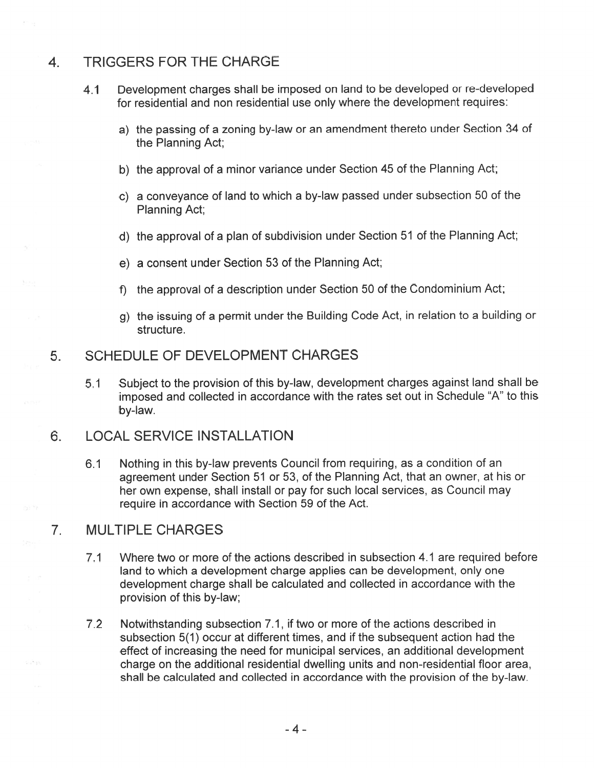#### 4 TRIGGERS FOR THE CHARGE

- 4.1 Development charges shall be imposed on land to be developed or re-developed for residential and non residential use only where the development requires:
	- a) the passing of <sup>a</sup> zoning by-law or an amendment thereto under Section <sup>34</sup> of the Planning Act;
	- b) the approval of <sup>a</sup> minor variance under Section 45 of the Planning Act;
	- C) <sup>a</sup> conveyance of land to which <sup>a</sup> by-law passe<sup>d</sup> under subsection <sup>50</sup> of the Planning Act;
	- d) the approva<sup>l</sup> of <sup>a</sup> <sup>p</sup>lan of subdivision under Section 51 of the Planning Act;
	- e) <sup>a</sup> consent under Section 53 of the Planning Act;
	- f) the approval of <sup>a</sup> description under Section 50 of the Condominium Act;
	- g) the issuing of <sup>a</sup> permit under the Building Code Act, in relation to <sup>a</sup> building or structure.

## 5 SCHEDULE OF DEVELOPMENT CHARGES

5. <sup>1</sup> Subject to the provision of this by-law, development charges against land shall be imposed and collected in accordance with the rates set out in Schedule "A" to this by-law.

## 6. LOCAL SERVICE INSTALLATION

6.1 Nothing in this by-law prevents Council from requiring, as <sup>a</sup> condition of an agreemen<sup>t</sup> under Section 51 or 53, of the Planning Act, that an owner, at his or her own expense, shall install or pay for such local services, as Council may require in accordance with Section 59 of the Act.

## 7. MULTIPLE CHARGES

 $\sim$   $\sim$ 

- 7. 1 Where two or more of the actions described in subsection 4. 1 are required before land to which <sup>a</sup> development charge applies can be development, only one development charge shall be calculated and collected in accordance with the provision of this by-law;
- 7.2 Notwithstanding subsection 7.1, if two or more of the actions described in subsection 5(1) occur at different times, and if the subsequent action had the effect of increasing the need for municipal services, an additional development charge on the additional residential dwelling units and non-residential floor area, shall be calculated and collected in accordance with the provision of the by-law.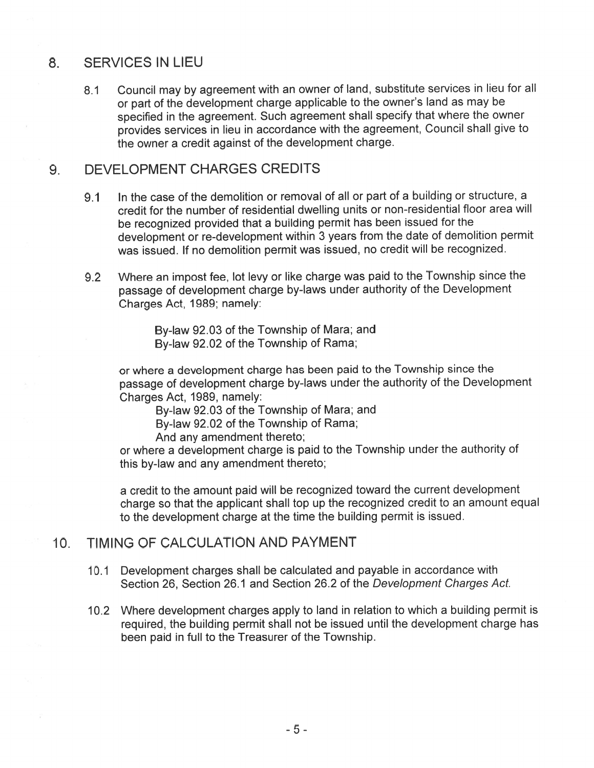#### 8. SERVICES IN LIEU

8.1 Council may by agreemen<sup>t</sup> with an owner of land, substitute services in lieu for all or par<sup>t</sup> of the development charge applicable to the owner's land as may be specified in the agreement. Such agreemen<sup>t</sup> shall specify that where the owner provides services in lieu in accordance with the agreement, Council shall <sup>g</sup>ive to the owner <sup>a</sup> credit against of the development charge.

#### 9. DEVELOPMENT CHARGES CREDITS

- 9.1 In the case of the demolition or removal of all or par<sup>t</sup> of <sup>a</sup> building or structure, <sup>a</sup> credit for the number of residential dwelling units or non-residential floor area will be recognized provided that <sup>a</sup> building permit has been issued for the development or re-development within <sup>3</sup> years from the date of demolition permit was issued. If no demolition permit was issued, no credit will be recognized.
- 9.2 Where an impost fee, lot levy or like charge was paid to the Township since the passage of development charge by-laws under authority of the Development Charges Act, 1989; namely:

By-law 92.03 of the Township of Mara; and By-law 92.02 of the Township of Rama;

or where <sup>a</sup> development charge has been paid to the Township since the passage of development charge by-laws under the authority of the Development Charges Act, 1989, namely:

By-law 92.03 of the Township of Mara; and

By-law 92.02 of the Township of Rama;

And any amendment thereto;

or where <sup>a</sup> development charge is paid to the Township under the authority of this by-law and any amendment thereto;

<sup>a</sup> credit to the amount paid will be recognized toward the current development charge so that the applicant shall top up the recognized credit to an amount equa<sup>l</sup> to the development charge at the time the building permit is issued.

## 10. TIMING OF CALCULATION AND PAYMENT

- 10.1 Development charges shall be calculated and payable in accordance with Section 26, Section 26. 1 and Section 26.2 of the Development Charges Act.
- 10.2 Where development charges apply to land in relation to which <sup>a</sup> building permit is required, the building permit shall not be issued until the development charge has been paid in full to the Treasurer of the Township.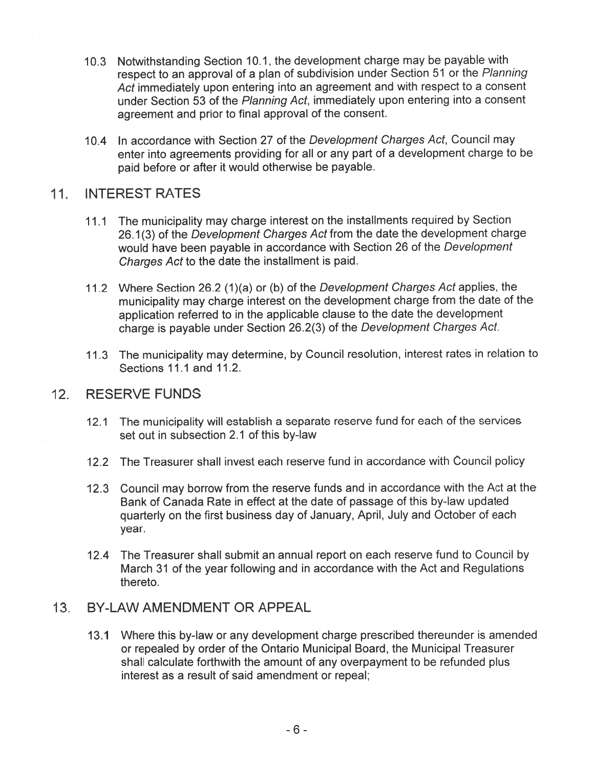- 10.3 Notwithstanding Section 10.1, the development charge may be payable with respec<sup>t</sup> to an approva<sup>l</sup> of <sup>a</sup> <sup>p</sup>lan of subdivision under Section <sup>51</sup> or the Planning Act immediately upon entering into an agreemen<sup>t</sup> and with respec<sup>t</sup> to <sup>a</sup> consent under Section 53 of the Planning Act, immediately upon entering into <sup>a</sup> consent agreemen<sup>t</sup> and prior to final approva<sup>l</sup> of the consent.
- 10.4 In accordance with Section 27 of the Development Charges Act, Council may enter into agreements providing for all or any par<sup>t</sup> of <sup>a</sup> development charge to be paid before or after it would otherwise be payable.

## 11. INTEREST RATES

- 11.1 The municipality may charge interest on the installments required by Section 26.1(3) of the Development Charges Act from the date the development charge would have been payable in accordance with Section <sup>26</sup> of the Development Charges Act to the date the installment is paid.
- 11.2 Where Section 26.2 (1)(a) or (b) of the Development Charges Act applies, the municipality may charge interest on the development charge from the date of the application referred to in the applicable clause to the date the development charge is payable under Section 26.2(3) of the Development Charges Act.
- 11.3 The municipality may determine, by Council resolution, interest rates in relation to Sections 11.1 and 11.2.

#### 12. RESERVE FUNDS

- 12.1 The municipality will establish a separate reserve fund for each of the services set out in subsection 2.1 of this by-law
- 12.2 The Treasurer shall invest each reserve fund in accordance with Council policy
- 12.3 Council may borrow from the reserve funds and in accordance with the Act at the Bank of Canada Rate in effect at the date of passage of this by-law updated quarterly on the first business day of January, April, July and October of each year.
- 12.4 The Treasurer shall submit an annual repor<sup>t</sup> on each reserve fund to Council by March 31 of the year following and in accordance with the Act and Regulations thereto.

#### 13. BY-LAW AMENDMENT OR APPEAL

13.1 Where this by-law or any development charge prescribed thereunder is amended or repealed by order of the Ontario Municipal Board, the Municipal Treasurer shall calculate forthwith the amount of any overpaymen<sup>t</sup> to be refunded plus interest as <sup>a</sup> result of said amendment or repeal;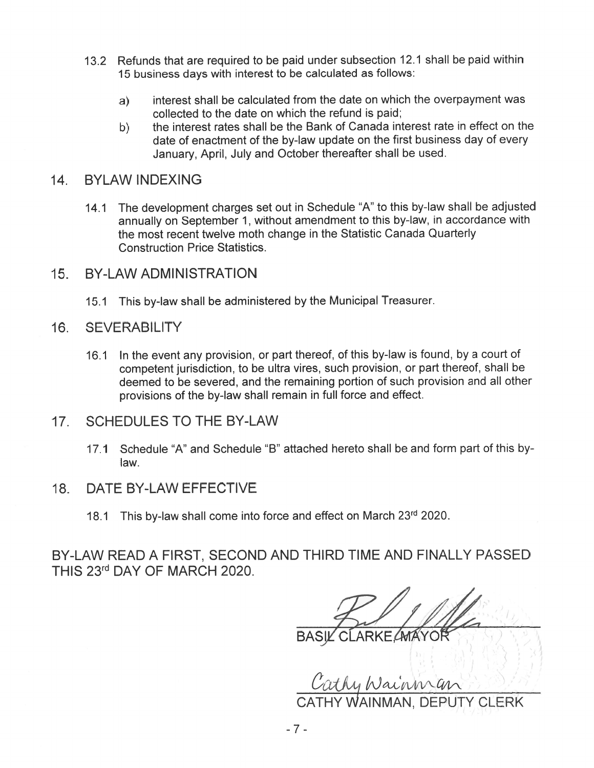- 13.2 Refunds that are required to be paid under subsection 12.1 shall be paid within 15 business days with interest to be calculated as follows:
	- a) interest shall be calculated from the date on which the overpaymen<sup>t</sup> was collected to the date on which the refund is paid;
	- b) the interest rates shall be the Bank of Canada interest rate in effect on the date of enactment of the by-law update on the first business day of every January, April, July and October thereafter shall be used.

#### 14. BYLAW INDEXING

- 14.1 The development charges set out in Schedule "A" to this by-law shall be adjusted annually on September 1, without amendment to this by-law, in accordance with the most recent twelve moth change in the Statistic Canada Quarterly Construction Price Statistics.
- 15. BY-LAWADMINISTRATION
	- 15.1 This by-law shall be administered by the Municipal Treasurer.

#### 16. SEVERABILITY

- 16.1 In the event any provision, or par<sup>t</sup> thereof, of this by-law is found, by <sup>a</sup> court of competent jurisdiction, to be ultra vires, such provision, or par<sup>t</sup> thereof, shall be deemed to be severed, and the remaining portion of such provision and all other provisions of the by-law shall remain in full force and effect.
- 17. SCHEDULES TO THE BY-LAW
	- 17.1 Schedule 'A" and Schedule "B" attached hereto shall be and form par<sup>t</sup> ofthis bylaw.
- 18. DATE BY-LAW EFFECTIVE
	- 18.1 This by-law shall come into force and effect on March 23rd 2020.

BY-LAW READ A FIRST, SECOND AND THIRD TIME AND FINALLY PASSED THIS 23rd DAY OF MARCH 2020.

 $\lambda$   $\rightarrow$   $\lambda$   $\rightarrow$   $\rightarrow$   $\rightarrow$  $k = \frac{1}{2}$ 

Cathy Wainman

CATHY WAINMAN, DEPUTY CLERK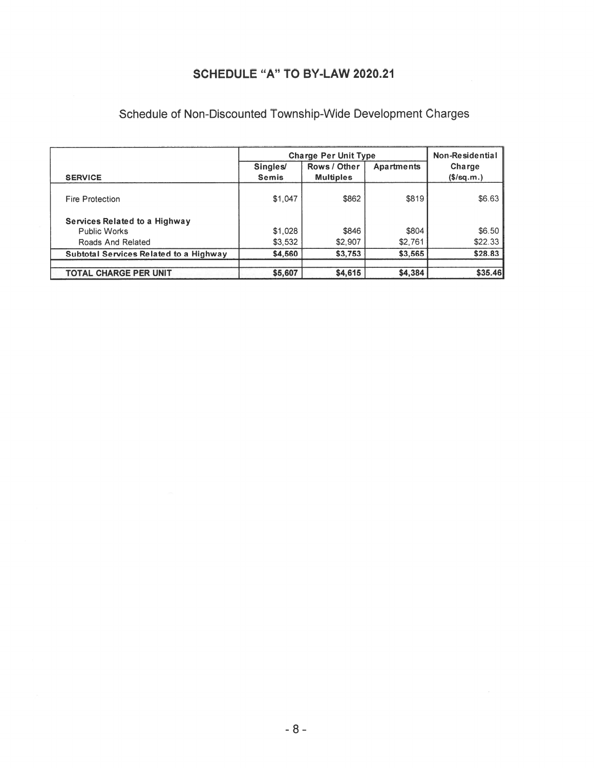## SCHEDULE "A" TO BY.LAW 2020.21

|                                               | <b>Charge Per Unit Type</b> |                  |            | Non-Residential         |
|-----------------------------------------------|-----------------------------|------------------|------------|-------------------------|
|                                               | <b>Singles</b>              | Rows / Other     | Apartments | Charge                  |
| <b>SERVICE</b>                                | <b>Semis</b>                | <b>Multiples</b> |            | $($\sqrt{$}$ (\$/sq.m.) |
| Fire Protection                               | \$1,047                     | \$862            | \$819      | \$6.63                  |
| Services Related to a Highway                 |                             |                  |            |                         |
| Public Works                                  | \$1,028                     | \$846            | \$804      | \$6.50                  |
| Roads And Related                             | \$3,532                     | \$2,907          | \$2,761    | \$22.33                 |
| <b>Subtotal Services Related to a Highway</b> | \$4,560                     | \$3,753          | \$3,565    | \$28.83                 |
| <b>TOTAL CHARGE PER UNIT</b>                  | \$5,607                     | \$4,615          | \$4,384    | \$35.46                 |

# Schedule of Non-Discounted Township-Wide Development Charges